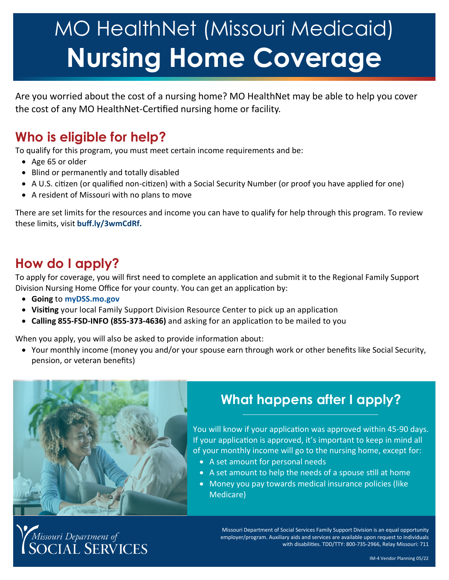# MO HealthNet (Missouri Medicaid) **Nursing Home Coverage**

Are you worried about the cost of a nursing home? MO HealthNet may be able to help you cover the cost of any MO HealthNet-Certified nursing home or facility.

## **Who is eligible for help?**

To qualify for this program, you must meet certain income requirements and be:

- Age 65 or older
- Blind or permanently and totally disabled
- A U.S. citizen (or qualified non-citizen) with a Social Security Number (or proof you have applied for one)
- A resident of Missouri with no plans to move

There are set limits for the resources and income you can have to qualify for help through this program. To review these limits, visit **[buff.ly/3wmCdRf.](https://mydss.mo.gov/media/pdf/benefit-program-limit-chart)**

## **How do I apply?**

To apply for coverage, you will first need to complete an application and submit it to the Regional Family Support Division Nursing Home Office for your county. You can get an application by:

- **Going** to **[myDSS.mo.gov](http://mydss.mo.gov)**
- **Visiting** your local Family Support Division Resource Center to pick up an application
- **Calling 855-FSD-INFO (855-373-4636)** and asking for an application to be mailed to you

When you apply, you will also be asked to provide information about:

 Your monthly income (money you and/or your spouse earn through work or other benefits like Social Security, pension, or veteran benefits)



# **What happens after I apply?**

You will know if your application was approved within 45-90 days. If your application is approved, it's important to keep in mind all of your monthly income will go to the nursing home, except for:

- A set amount for personal needs
- A set amount to help the needs of a spouse still at home
- Money you pay towards medical insurance policies (like Medicare)

Missouri Department of<br>SOCIAL SERVICES

Missouri Department of Social Services Family Support Division is an equal opportunity employer/program. Auxiliary aids and services are available upon request to individuals with disabilities. TDD/TTY: 800-735-2966, Relay Missouri: 711